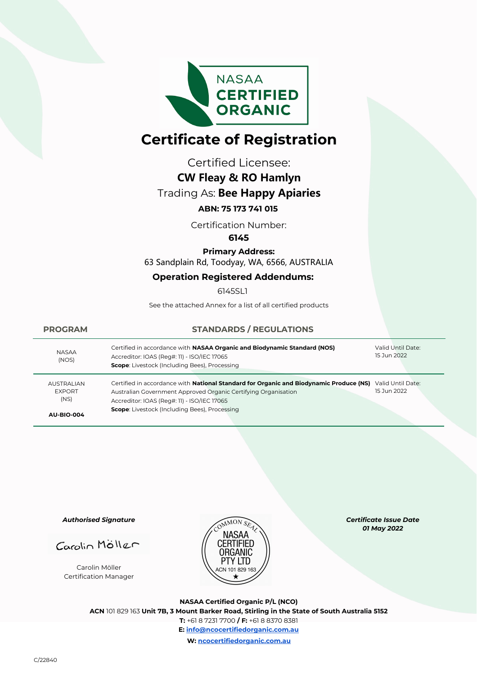

# **Certificate of Registration**

Certified Licensee:

# **CW Fleay & RO Hamlyn**

# Trading As: **Bee Happy Apiaries**

## **ABN: 75 173 741 015**

Certification Number:

#### **6145**

#### **Primary Address:**

63 Sandplain Rd, Toodyay, WA, 6566, AUSTRALIA

## **Operation Registered Addendums:**

6145SL1

See the attached Annex for a list of all certified products

| <b>PROGRAM</b>                             | <b>STANDARDS / REGULATIONS</b>                                                                                                                                                                          |                                  |
|--------------------------------------------|---------------------------------------------------------------------------------------------------------------------------------------------------------------------------------------------------------|----------------------------------|
| <b>NASAA</b><br>(NOS)                      | Certified in accordance with NASAA Organic and Biodynamic Standard (NOS)<br>Accreditor: IOAS (Reg#: 11) - ISO/IEC 17065<br><b>Scope:</b> Livestock (Including Bees), Processing                         | Valid Until Date:<br>15 Jun 2022 |
| <b>AUSTRALIAN</b><br><b>EXPORT</b><br>(NS) | Certified in accordance with National Standard for Organic and Biodynamic Produce (NS)<br>Australian Government Approved Organic Certifying Organisation<br>Accreditor: IOAS (Reg#: 11) - ISO/IEC 17065 | Valid Until Date:<br>15 Jun 2022 |
| <b>AU-BIO-004</b>                          | <b>Scope:</b> Livestock (Including Bees), Processing                                                                                                                                                    |                                  |

*Authorised Signature*

Carolin Möller

Carolin Möller Certification Manager



*Certificate Issue Date 01 May 2022* 

**NASAA Certified Organic P/L (NCO) ACN** 101 829 163 **Unit 7B, 3 Mount Barker Road, Stirling in the State of South Australia 5152 T:** +61 8 7231 7700 **/ F:** +61 8 8370 8381 **E: info@ncocertifiedorganic.com.au W: ncocertifiedorganic.com.au**